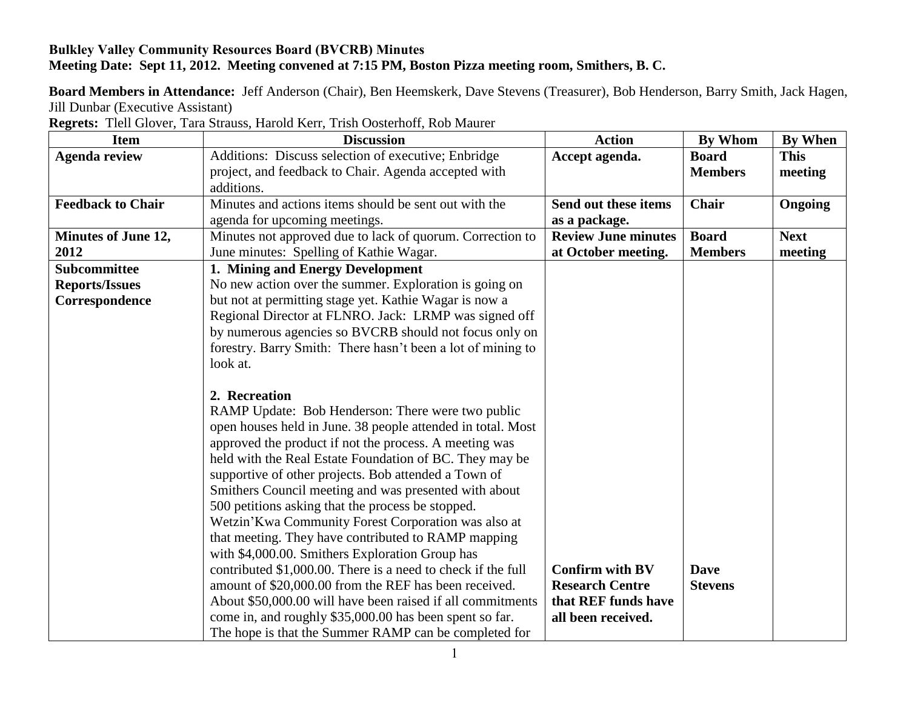## **Bulkley Valley Community Resources Board (BVCRB) Minutes Meeting Date: Sept 11, 2012. Meeting convened at 7:15 PM, Boston Pizza meeting room, Smithers, B. C.**

**Board Members in Attendance:** Jeff Anderson (Chair), Ben Heemskerk, Dave Stevens (Treasurer), Bob Henderson, Barry Smith, Jack Hagen, Jill Dunbar (Executive Assistant)

**Regrets:** Tlell Glover, Tara Strauss, Harold Kerr, Trish Oosterhoff, Rob Maurer

| <b>Item</b>                | <b>Discussion</b>                                            | <b>Action</b>              | <b>By Whom</b> | <b>By When</b> |
|----------------------------|--------------------------------------------------------------|----------------------------|----------------|----------------|
| <b>Agenda review</b>       | Additions: Discuss selection of executive; Enbridge          | Accept agenda.             | <b>Board</b>   | <b>This</b>    |
|                            | project, and feedback to Chair. Agenda accepted with         |                            | <b>Members</b> | meeting        |
|                            | additions.                                                   |                            |                |                |
| <b>Feedback to Chair</b>   | Minutes and actions items should be sent out with the        | Send out these items       | Chair          | Ongoing        |
|                            | agenda for upcoming meetings.                                | as a package.              |                |                |
| <b>Minutes of June 12,</b> | Minutes not approved due to lack of quorum. Correction to    | <b>Review June minutes</b> | <b>Board</b>   | <b>Next</b>    |
| 2012                       | June minutes: Spelling of Kathie Wagar.                      | at October meeting.        | <b>Members</b> | meeting        |
| <b>Subcommittee</b>        | 1. Mining and Energy Development                             |                            |                |                |
| <b>Reports/Issues</b>      | No new action over the summer. Exploration is going on       |                            |                |                |
| Correspondence             | but not at permitting stage yet. Kathie Wagar is now a       |                            |                |                |
|                            | Regional Director at FLNRO. Jack: LRMP was signed off        |                            |                |                |
|                            | by numerous agencies so BVCRB should not focus only on       |                            |                |                |
|                            | forestry. Barry Smith: There hasn't been a lot of mining to  |                            |                |                |
|                            | look at.                                                     |                            |                |                |
|                            |                                                              |                            |                |                |
|                            | 2. Recreation                                                |                            |                |                |
|                            | RAMP Update: Bob Henderson: There were two public            |                            |                |                |
|                            | open houses held in June. 38 people attended in total. Most  |                            |                |                |
|                            | approved the product if not the process. A meeting was       |                            |                |                |
|                            | held with the Real Estate Foundation of BC. They may be      |                            |                |                |
|                            | supportive of other projects. Bob attended a Town of         |                            |                |                |
|                            | Smithers Council meeting and was presented with about        |                            |                |                |
|                            | 500 petitions asking that the process be stopped.            |                            |                |                |
|                            | Wetzin'Kwa Community Forest Corporation was also at          |                            |                |                |
|                            | that meeting. They have contributed to RAMP mapping          |                            |                |                |
|                            | with \$4,000.00. Smithers Exploration Group has              |                            |                |                |
|                            | contributed \$1,000.00. There is a need to check if the full | <b>Confirm with BV</b>     | <b>Dave</b>    |                |
|                            | amount of \$20,000.00 from the REF has been received.        | <b>Research Centre</b>     | <b>Stevens</b> |                |
|                            | About \$50,000.00 will have been raised if all commitments   | that REF funds have        |                |                |
|                            | come in, and roughly \$35,000.00 has been spent so far.      | all been received.         |                |                |
|                            | The hope is that the Summer RAMP can be completed for        |                            |                |                |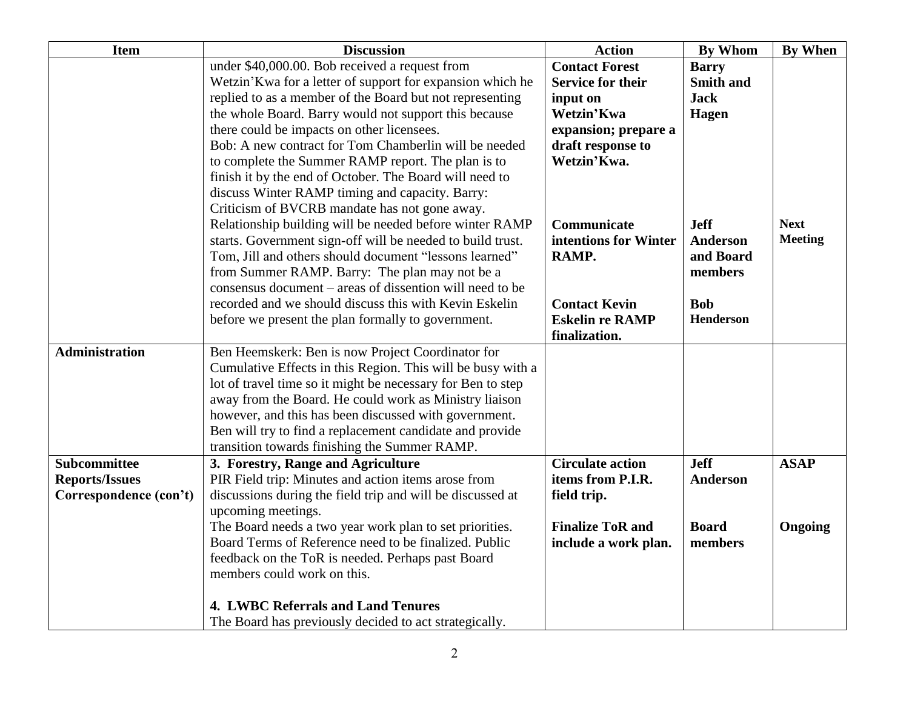| <b>Item</b>                                     | <b>Discussion</b>                                                                         | <b>Action</b>            | <b>By Whom</b>   | <b>By When</b> |
|-------------------------------------------------|-------------------------------------------------------------------------------------------|--------------------------|------------------|----------------|
|                                                 | under \$40,000.00. Bob received a request from                                            | <b>Contact Forest</b>    | <b>Barry</b>     |                |
|                                                 | Wetzin'Kwa for a letter of support for expansion which he                                 | <b>Service for their</b> | <b>Smith and</b> |                |
|                                                 | replied to as a member of the Board but not representing                                  | input on                 | <b>Jack</b>      |                |
|                                                 | the whole Board. Barry would not support this because                                     | Wetzin'Kwa               | Hagen            |                |
|                                                 | there could be impacts on other licensees.                                                | expansion; prepare a     |                  |                |
|                                                 | Bob: A new contract for Tom Chamberlin will be needed                                     | draft response to        |                  |                |
|                                                 | to complete the Summer RAMP report. The plan is to                                        | Wetzin'Kwa.              |                  |                |
|                                                 | finish it by the end of October. The Board will need to                                   |                          |                  |                |
|                                                 | discuss Winter RAMP timing and capacity. Barry:                                           |                          |                  |                |
|                                                 | Criticism of BVCRB mandate has not gone away.                                             |                          |                  |                |
|                                                 | Relationship building will be needed before winter RAMP                                   | Communicate              | <b>Jeff</b>      | <b>Next</b>    |
|                                                 | starts. Government sign-off will be needed to build trust.                                | intentions for Winter    | <b>Anderson</b>  | <b>Meeting</b> |
|                                                 | Tom, Jill and others should document "lessons learned"                                    | RAMP.                    | and Board        |                |
|                                                 | from Summer RAMP. Barry: The plan may not be a                                            |                          | members          |                |
|                                                 | consensus document – areas of dissention will need to be                                  |                          |                  |                |
|                                                 | recorded and we should discuss this with Kevin Eskelin                                    | <b>Contact Kevin</b>     | <b>Bob</b>       |                |
|                                                 | before we present the plan formally to government.                                        | <b>Eskelin re RAMP</b>   | Henderson        |                |
|                                                 |                                                                                           | finalization.            |                  |                |
| <b>Administration</b>                           | Ben Heemskerk: Ben is now Project Coordinator for                                         |                          |                  |                |
|                                                 | Cumulative Effects in this Region. This will be busy with a                               |                          |                  |                |
|                                                 | lot of travel time so it might be necessary for Ben to step                               |                          |                  |                |
|                                                 | away from the Board. He could work as Ministry liaison                                    |                          |                  |                |
|                                                 | however, and this has been discussed with government.                                     |                          |                  |                |
|                                                 | Ben will try to find a replacement candidate and provide                                  |                          |                  |                |
|                                                 | transition towards finishing the Summer RAMP.                                             | <b>Circulate action</b>  | <b>Jeff</b>      | <b>ASAP</b>    |
| <b>Subcommittee</b>                             | 3. Forestry, Range and Agriculture<br>PIR Field trip: Minutes and action items arose from | items from P.I.R.        | Anderson         |                |
| <b>Reports/Issues</b><br>Correspondence (con't) | discussions during the field trip and will be discussed at                                |                          |                  |                |
|                                                 | upcoming meetings.                                                                        | field trip.              |                  |                |
|                                                 | The Board needs a two year work plan to set priorities.                                   | <b>Finalize ToR and</b>  | <b>Board</b>     | Ongoing        |
|                                                 | Board Terms of Reference need to be finalized. Public                                     | include a work plan.     | members          |                |
|                                                 | feedback on the ToR is needed. Perhaps past Board                                         |                          |                  |                |
|                                                 | members could work on this.                                                               |                          |                  |                |
|                                                 |                                                                                           |                          |                  |                |
|                                                 | <b>4. LWBC Referrals and Land Tenures</b>                                                 |                          |                  |                |
|                                                 | The Board has previously decided to act strategically.                                    |                          |                  |                |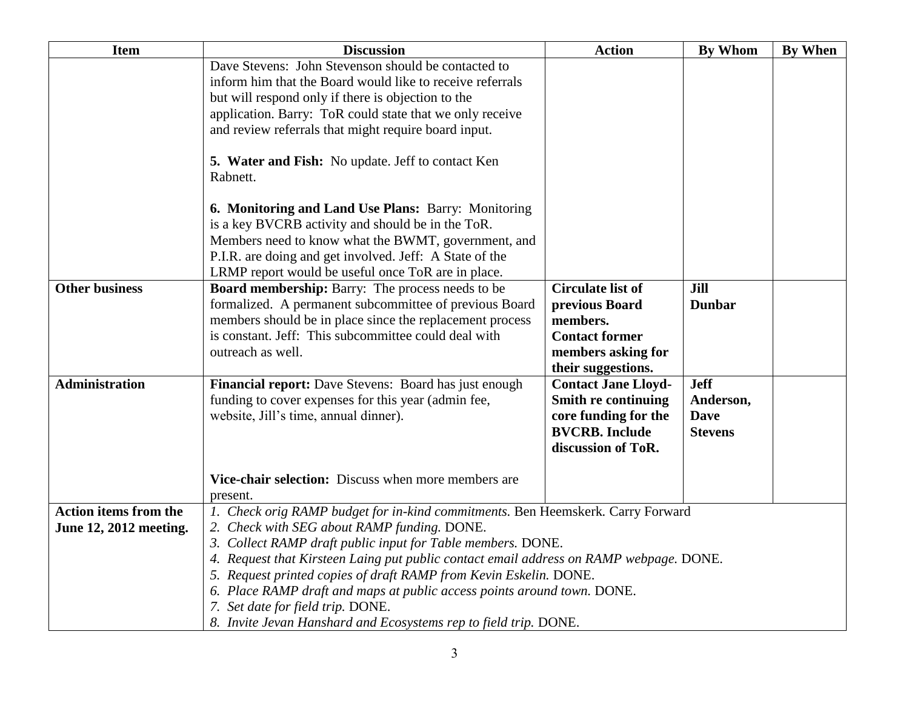| <b>Item</b>                                            | <b>Discussion</b>                                                                                                                                                                                                                                                                                                                                                                                                                                                                                                                                | <b>Action</b>                                                                                                               | <b>By Whom</b>                                            | By When |
|--------------------------------------------------------|--------------------------------------------------------------------------------------------------------------------------------------------------------------------------------------------------------------------------------------------------------------------------------------------------------------------------------------------------------------------------------------------------------------------------------------------------------------------------------------------------------------------------------------------------|-----------------------------------------------------------------------------------------------------------------------------|-----------------------------------------------------------|---------|
|                                                        | Dave Stevens: John Stevenson should be contacted to<br>inform him that the Board would like to receive referrals<br>but will respond only if there is objection to the<br>application. Barry: ToR could state that we only receive<br>and review referrals that might require board input.                                                                                                                                                                                                                                                       |                                                                                                                             |                                                           |         |
|                                                        | 5. Water and Fish: No update. Jeff to contact Ken<br>Rabnett.                                                                                                                                                                                                                                                                                                                                                                                                                                                                                    |                                                                                                                             |                                                           |         |
|                                                        | 6. Monitoring and Land Use Plans: Barry: Monitoring<br>is a key BVCRB activity and should be in the ToR.<br>Members need to know what the BWMT, government, and<br>P.I.R. are doing and get involved. Jeff: A State of the<br>LRMP report would be useful once ToR are in place.                                                                                                                                                                                                                                                                 |                                                                                                                             |                                                           |         |
| <b>Other business</b>                                  | <b>Board membership:</b> Barry: The process needs to be<br>formalized. A permanent subcommittee of previous Board<br>members should be in place since the replacement process<br>is constant. Jeff: This subcommittee could deal with<br>outreach as well.                                                                                                                                                                                                                                                                                       | <b>Circulate list of</b><br>previous Board<br>members.<br><b>Contact former</b><br>members asking for<br>their suggestions. | Jill<br><b>Dunbar</b>                                     |         |
| <b>Administration</b>                                  | Financial report: Dave Stevens: Board has just enough<br>funding to cover expenses for this year (admin fee,<br>website, Jill's time, annual dinner).                                                                                                                                                                                                                                                                                                                                                                                            | <b>Contact Jane Lloyd-</b><br>Smith re continuing<br>core funding for the<br><b>BVCRB.</b> Include<br>discussion of ToR.    | <b>Jeff</b><br>Anderson,<br><b>Dave</b><br><b>Stevens</b> |         |
|                                                        | Vice-chair selection: Discuss when more members are<br>present.                                                                                                                                                                                                                                                                                                                                                                                                                                                                                  |                                                                                                                             |                                                           |         |
| <b>Action items from the</b><br>June 12, 2012 meeting. | 1. Check orig RAMP budget for in-kind commitments. Ben Heemskerk. Carry Forward<br>2. Check with SEG about RAMP funding. DONE.<br>3. Collect RAMP draft public input for Table members. DONE.<br>4. Request that Kirsteen Laing put public contact email address on RAMP webpage. DONE.<br>5. Request printed copies of draft RAMP from Kevin Eskelin. DONE.<br>6. Place RAMP draft and maps at public access points around town. DONE.<br>7. Set date for field trip. DONE.<br>8. Invite Jevan Hanshard and Ecosystems rep to field trip. DONE. |                                                                                                                             |                                                           |         |